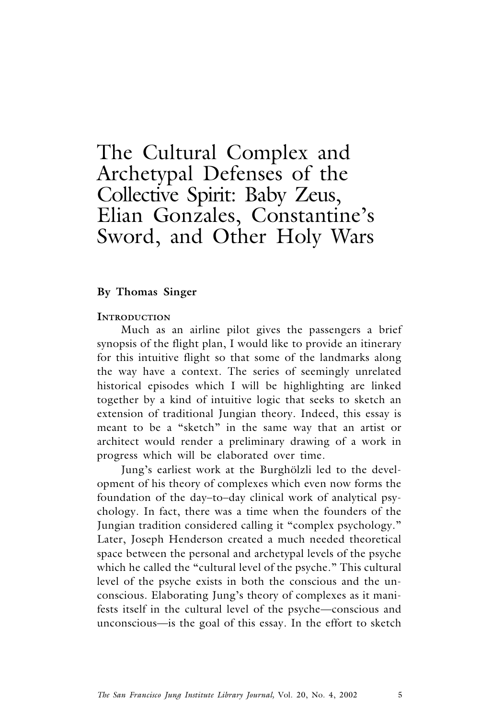# The Cultural Complex and Archetypal Defenses of the Collective Spirit: Baby Zeus, Elian Gonzales, Constantine's Sword, and Other Holy Wars

#### **By Thomas Singer**

#### **INTRODUCTION**

Much as an airline pilot gives the passengers a brief synopsis of the flight plan, I would like to provide an itinerary for this intuitive flight so that some of the landmarks along the way have a context. The series of seemingly unrelated historical episodes which I will be highlighting are linked together by a kind of intuitive logic that seeks to sketch an extension of traditional Jungian theory. Indeed, this essay is meant to be a "sketch" in the same way that an artist or architect would render a preliminary drawing of a work in progress which will be elaborated over time.

Jung's earliest work at the Burghölzli led to the development of his theory of complexes which even now forms the foundation of the day–to–day clinical work of analytical psychology. In fact, there was a time when the founders of the Jungian tradition considered calling it "complex psychology." Later, Joseph Henderson created a much needed theoretical space between the personal and archetypal levels of the psyche which he called the "cultural level of the psyche." This cultural level of the psyche exists in both the conscious and the unconscious. Elaborating Jung's theory of complexes as it manifests itself in the cultural level of the psyche—conscious and unconscious—is the goal of this essay. In the effort to sketch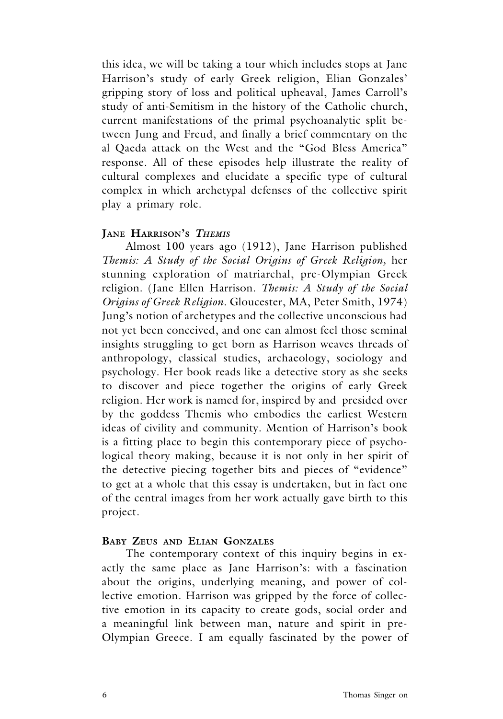this idea, we will be taking a tour which includes stops at Jane Harrison's study of early Greek religion, Elian Gonzales' gripping story of loss and political upheaval, James Carroll's study of anti-Semitism in the history of the Catholic church, current manifestations of the primal psychoanalytic split between Jung and Freud, and finally a brief commentary on the al Qaeda attack on the West and the "God Bless America" response. All of these episodes help illustrate the reality of cultural complexes and elucidate a specific type of cultural complex in which archetypal defenses of the collective spirit play a primary role.

#### **JANE HARRISON'S** *THEMIS*

Almost 100 years ago (1912), Jane Harrison published *Themis: A Study of the Social Origins of Greek Religion,* her stunning exploration of matriarchal, pre-Olympian Greek religion. (Jane Ellen Harrison. *Themis: A Study of the Social Origins of Greek Religion.* Gloucester, MA, Peter Smith, 1974) Jung's notion of archetypes and the collective unconscious had not yet been conceived, and one can almost feel those seminal insights struggling to get born as Harrison weaves threads of anthropology, classical studies, archaeology, sociology and psychology. Her book reads like a detective story as she seeks to discover and piece together the origins of early Greek religion. Her work is named for, inspired by and presided over by the goddess Themis who embodies the earliest Western ideas of civility and community. Mention of Harrison's book is a fitting place to begin this contemporary piece of psychological theory making, because it is not only in her spirit of the detective piecing together bits and pieces of "evidence" to get at a whole that this essay is undertaken, but in fact one of the central images from her work actually gave birth to this project.

## **BABY ZEUS AND ELIAN GONZALES**

The contemporary context of this inquiry begins in exactly the same place as Jane Harrison's: with a fascination about the origins, underlying meaning, and power of collective emotion. Harrison was gripped by the force of collective emotion in its capacity to create gods, social order and a meaningful link between man, nature and spirit in pre-Olympian Greece. I am equally fascinated by the power of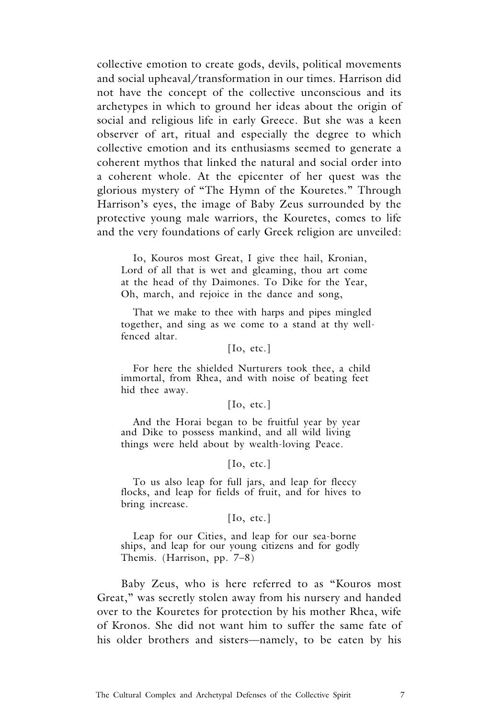collective emotion to create gods, devils, political movements and social upheaval/transformation in our times. Harrison did not have the concept of the collective unconscious and its archetypes in which to ground her ideas about the origin of social and religious life in early Greece. But she was a keen observer of art, ritual and especially the degree to which collective emotion and its enthusiasms seemed to generate a coherent mythos that linked the natural and social order into a coherent whole. At the epicenter of her quest was the glorious mystery of "The Hymn of the Kouretes." Through Harrison's eyes, the image of Baby Zeus surrounded by the protective young male warriors, the Kouretes, comes to life and the very foundations of early Greek religion are unveiled:

Io, Kouros most Great, I give thee hail, Kronian, Lord of all that is wet and gleaming, thou art come at the head of thy Daimones. To Dike for the Year, Oh, march, and rejoice in the dance and song,

That we make to thee with harps and pipes mingled together, and sing as we come to a stand at thy wellfenced altar.

#### [Io, etc.]

For here the shielded Nurturers took thee, a child immortal, from Rhea, and with noise of beating feet hid thee away.

#### [Io, etc.]

And the Horai began to be fruitful year by year and Dike to possess mankind, and all wild living things were held about by wealth-loving Peace.

#### [Io, etc.]

To us also leap for full jars, and leap for fleecy flocks, and leap for fields of fruit, and for hives to bring increase.

## [Io, etc.]

Leap for our Cities, and leap for our sea-borne ships, and leap for our young citizens and for godly Themis. (Harrison, pp. 7–8)

Baby Zeus, who is here referred to as "Kouros most Great," was secretly stolen away from his nursery and handed over to the Kouretes for protection by his mother Rhea, wife of Kronos. She did not want him to suffer the same fate of his older brothers and sisters—namely, to be eaten by his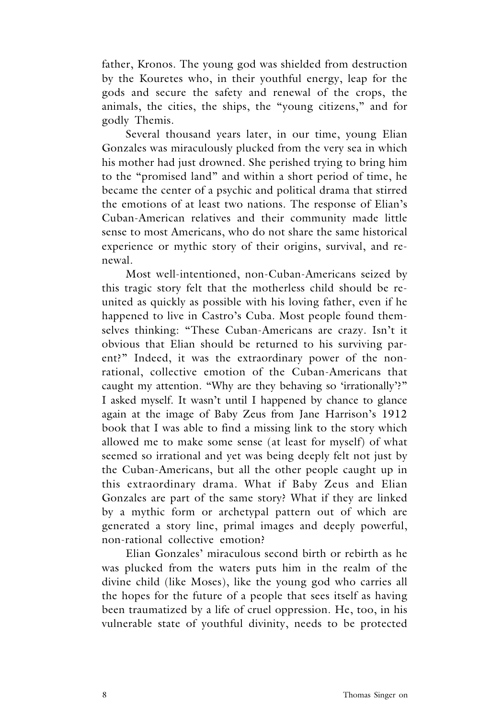father, Kronos. The young god was shielded from destruction by the Kouretes who, in their youthful energy, leap for the gods and secure the safety and renewal of the crops, the animals, the cities, the ships, the "young citizens," and for godly Themis.

Several thousand years later, in our time, young Elian Gonzales was miraculously plucked from the very sea in which his mother had just drowned. She perished trying to bring him to the "promised land" and within a short period of time, he became the center of a psychic and political drama that stirred the emotions of at least two nations. The response of Elian's Cuban-American relatives and their community made little sense to most Americans, who do not share the same historical experience or mythic story of their origins, survival, and renewal.

Most well-intentioned, non-Cuban-Americans seized by this tragic story felt that the motherless child should be reunited as quickly as possible with his loving father, even if he happened to live in Castro's Cuba. Most people found themselves thinking: "These Cuban-Americans are crazy. Isn't it obvious that Elian should be returned to his surviving parent?" Indeed, it was the extraordinary power of the nonrational, collective emotion of the Cuban-Americans that caught my attention. "Why are they behaving so 'irrationally'?" I asked myself. It wasn't until I happened by chance to glance again at the image of Baby Zeus from Jane Harrison's 1912 book that I was able to find a missing link to the story which allowed me to make some sense (at least for myself) of what seemed so irrational and yet was being deeply felt not just by the Cuban-Americans, but all the other people caught up in this extraordinary drama. What if Baby Zeus and Elian Gonzales are part of the same story? What if they are linked by a mythic form or archetypal pattern out of which are generated a story line, primal images and deeply powerful, non-rational collective emotion?

Elian Gonzales' miraculous second birth or rebirth as he was plucked from the waters puts him in the realm of the divine child (like Moses), like the young god who carries all the hopes for the future of a people that sees itself as having been traumatized by a life of cruel oppression. He, too, in his vulnerable state of youthful divinity, needs to be protected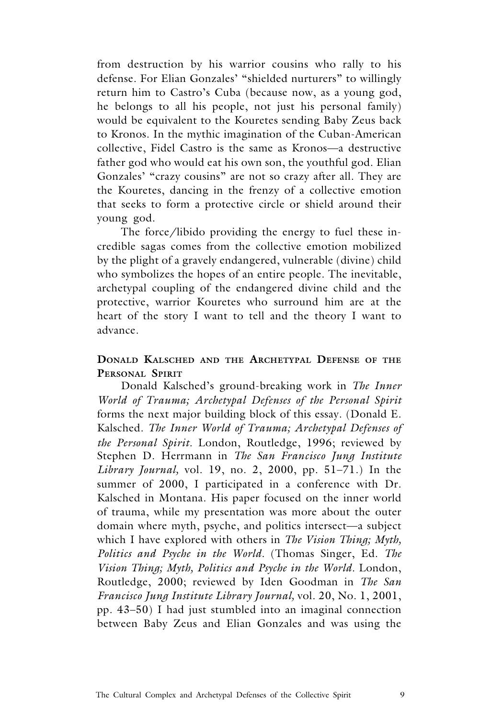from destruction by his warrior cousins who rally to his defense. For Elian Gonzales' "shielded nurturers" to willingly return him to Castro's Cuba (because now, as a young god, he belongs to all his people, not just his personal family) would be equivalent to the Kouretes sending Baby Zeus back to Kronos. In the mythic imagination of the Cuban-American collective, Fidel Castro is the same as Kronos—a destructive father god who would eat his own son, the youthful god. Elian Gonzales' "crazy cousins" are not so crazy after all. They are the Kouretes, dancing in the frenzy of a collective emotion that seeks to form a protective circle or shield around their young god.

The force/libido providing the energy to fuel these incredible sagas comes from the collective emotion mobilized by the plight of a gravely endangered, vulnerable (divine) child who symbolizes the hopes of an entire people. The inevitable, archetypal coupling of the endangered divine child and the protective, warrior Kouretes who surround him are at the heart of the story I want to tell and the theory I want to advance.

## **DONALD KALSCHED AND THE ARCHETYPAL DEFENSE OF THE PERSONAL SPIRIT**

Donald Kalsched's ground-breaking work in *The Inner World of Trauma; Archetypal Defenses of the Personal Spirit* forms the next major building block of this essay. (Donald E. Kalsched. *The Inner World of Trauma; Archetypal Defenses of the Personal Spirit.* London, Routledge, 1996; reviewed by Stephen D. Herrmann in *The San Francisco Jung Institute Library Journal,* vol. 19, no. 2, 2000, pp. 51–71.) In the summer of 2000, I participated in a conference with Dr. Kalsched in Montana. His paper focused on the inner world of trauma, while my presentation was more about the outer domain where myth, psyche, and politics intersect—a subject which I have explored with others in *The Vision Thing; Myth, Politics and Psyche in the World.* (Thomas Singer, Ed. *The Vision Thing; Myth, Politics and Psyche in the World.* London, Routledge, 2000; reviewed by Iden Goodman in *The San Francisco Jung Institute Library Journal,* vol. 20, No. 1, 2001, pp. 43–50) I had just stumbled into an imaginal connection between Baby Zeus and Elian Gonzales and was using the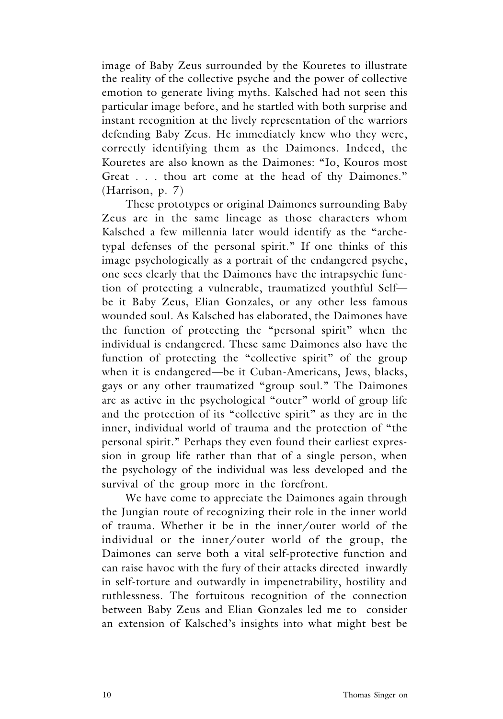image of Baby Zeus surrounded by the Kouretes to illustrate the reality of the collective psyche and the power of collective emotion to generate living myths. Kalsched had not seen this particular image before, and he startled with both surprise and instant recognition at the lively representation of the warriors defending Baby Zeus. He immediately knew who they were, correctly identifying them as the Daimones. Indeed, the Kouretes are also known as the Daimones: "Io, Kouros most Great . . . thou art come at the head of thy Daimones." (Harrison, p. 7)

These prototypes or original Daimones surrounding Baby Zeus are in the same lineage as those characters whom Kalsched a few millennia later would identify as the "archetypal defenses of the personal spirit." If one thinks of this image psychologically as a portrait of the endangered psyche, one sees clearly that the Daimones have the intrapsychic function of protecting a vulnerable, traumatized youthful Self be it Baby Zeus, Elian Gonzales, or any other less famous wounded soul. As Kalsched has elaborated, the Daimones have the function of protecting the "personal spirit" when the individual is endangered. These same Daimones also have the function of protecting the "collective spirit" of the group when it is endangered—be it Cuban-Americans, Jews, blacks, gays or any other traumatized "group soul." The Daimones are as active in the psychological "outer" world of group life and the protection of its "collective spirit" as they are in the inner, individual world of trauma and the protection of "the personal spirit." Perhaps they even found their earliest expression in group life rather than that of a single person, when the psychology of the individual was less developed and the survival of the group more in the forefront.

We have come to appreciate the Daimones again through the Jungian route of recognizing their role in the inner world of trauma. Whether it be in the inner/outer world of the individual or the inner/outer world of the group, the Daimones can serve both a vital self-protective function and can raise havoc with the fury of their attacks directed inwardly in self-torture and outwardly in impenetrability, hostility and ruthlessness. The fortuitous recognition of the connection between Baby Zeus and Elian Gonzales led me to consider an extension of Kalsched's insights into what might best be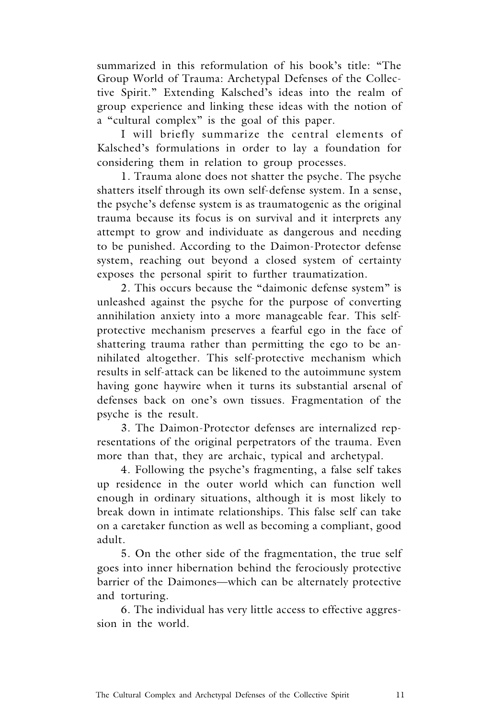summarized in this reformulation of his book's title: "The Group World of Trauma: Archetypal Defenses of the Collective Spirit." Extending Kalsched's ideas into the realm of group experience and linking these ideas with the notion of a "cultural complex" is the goal of this paper.

I will briefly summarize the central elements of Kalsched's formulations in order to lay a foundation for considering them in relation to group processes.

1. Trauma alone does not shatter the psyche. The psyche shatters itself through its own self-defense system. In a sense, the psyche's defense system is as traumatogenic as the original trauma because its focus is on survival and it interprets any attempt to grow and individuate as dangerous and needing to be punished. According to the Daimon-Protector defense system, reaching out beyond a closed system of certainty exposes the personal spirit to further traumatization.

2. This occurs because the "daimonic defense system" is unleashed against the psyche for the purpose of converting annihilation anxiety into a more manageable fear. This selfprotective mechanism preserves a fearful ego in the face of shattering trauma rather than permitting the ego to be annihilated altogether. This self-protective mechanism which results in self-attack can be likened to the autoimmune system having gone haywire when it turns its substantial arsenal of defenses back on one's own tissues. Fragmentation of the psyche is the result.

3. The Daimon-Protector defenses are internalized representations of the original perpetrators of the trauma. Even more than that, they are archaic, typical and archetypal.

4. Following the psyche's fragmenting, a false self takes up residence in the outer world which can function well enough in ordinary situations, although it is most likely to break down in intimate relationships. This false self can take on a caretaker function as well as becoming a compliant, good adult.

5. On the other side of the fragmentation, the true self goes into inner hibernation behind the ferociously protective barrier of the Daimones—which can be alternately protective and torturing.

6. The individual has very little access to effective aggression in the world.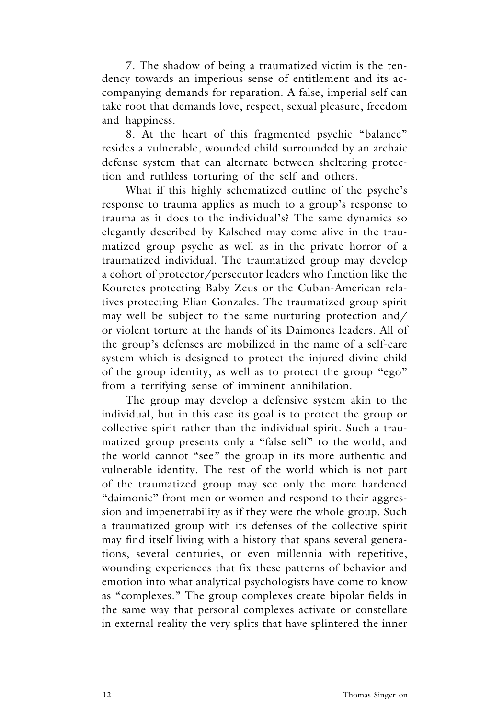7. The shadow of being a traumatized victim is the tendency towards an imperious sense of entitlement and its accompanying demands for reparation. A false, imperial self can take root that demands love, respect, sexual pleasure, freedom and happiness.

8. At the heart of this fragmented psychic "balance" resides a vulnerable, wounded child surrounded by an archaic defense system that can alternate between sheltering protection and ruthless torturing of the self and others.

What if this highly schematized outline of the psyche's response to trauma applies as much to a group's response to trauma as it does to the individual's? The same dynamics so elegantly described by Kalsched may come alive in the traumatized group psyche as well as in the private horror of a traumatized individual. The traumatized group may develop a cohort of protector/persecutor leaders who function like the Kouretes protecting Baby Zeus or the Cuban-American relatives protecting Elian Gonzales. The traumatized group spirit may well be subject to the same nurturing protection and/ or violent torture at the hands of its Daimones leaders. All of the group's defenses are mobilized in the name of a self-care system which is designed to protect the injured divine child of the group identity, as well as to protect the group "ego" from a terrifying sense of imminent annihilation.

The group may develop a defensive system akin to the individual, but in this case its goal is to protect the group or collective spirit rather than the individual spirit. Such a traumatized group presents only a "false self" to the world, and the world cannot "see" the group in its more authentic and vulnerable identity. The rest of the world which is not part of the traumatized group may see only the more hardened "daimonic" front men or women and respond to their aggression and impenetrability as if they were the whole group. Such a traumatized group with its defenses of the collective spirit may find itself living with a history that spans several generations, several centuries, or even millennia with repetitive, wounding experiences that fix these patterns of behavior and emotion into what analytical psychologists have come to know as "complexes." The group complexes create bipolar fields in the same way that personal complexes activate or constellate in external reality the very splits that have splintered the inner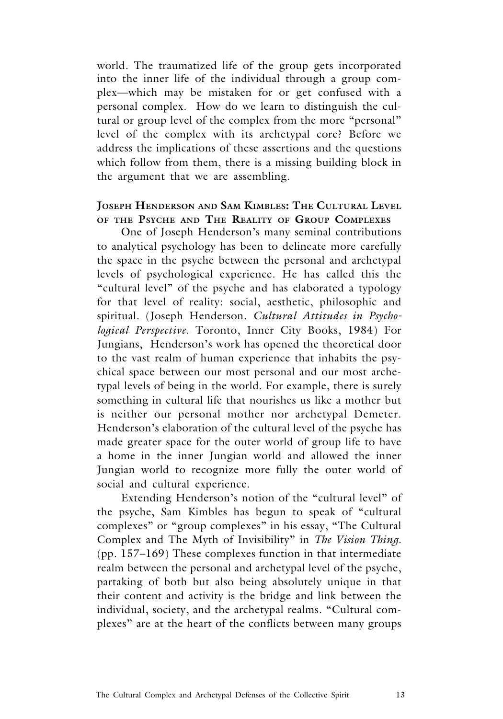world. The traumatized life of the group gets incorporated into the inner life of the individual through a group complex—which may be mistaken for or get confused with a personal complex. How do we learn to distinguish the cultural or group level of the complex from the more "personal" level of the complex with its archetypal core? Before we address the implications of these assertions and the questions which follow from them, there is a missing building block in the argument that we are assembling.

## **JOSEPH HENDERSON AND SAM KIMBLES: THE CULTURAL LEVEL OF THE PSYCHE AND THE REALITY OF GROUP COMPLEXES**

One of Joseph Henderson's many seminal contributions to analytical psychology has been to delineate more carefully the space in the psyche between the personal and archetypal levels of psychological experience. He has called this the "cultural level" of the psyche and has elaborated a typology for that level of reality: social, aesthetic, philosophic and spiritual. (Joseph Henderson. *Cultural Attitudes in Psychological Perspective.* Toronto, Inner City Books, 1984) For Jungians, Henderson's work has opened the theoretical door to the vast realm of human experience that inhabits the psychical space between our most personal and our most archetypal levels of being in the world. For example, there is surely something in cultural life that nourishes us like a mother but is neither our personal mother nor archetypal Demeter. Henderson's elaboration of the cultural level of the psyche has made greater space for the outer world of group life to have a home in the inner Jungian world and allowed the inner Jungian world to recognize more fully the outer world of social and cultural experience.

Extending Henderson's notion of the "cultural level" of the psyche, Sam Kimbles has begun to speak of "cultural complexes" or "group complexes" in his essay, "The Cultural Complex and The Myth of Invisibility" in *The Vision Thing.* (pp. 157–169) These complexes function in that intermediate realm between the personal and archetypal level of the psyche, partaking of both but also being absolutely unique in that their content and activity is the bridge and link between the individual, society, and the archetypal realms. "Cultural complexes" are at the heart of the conflicts between many groups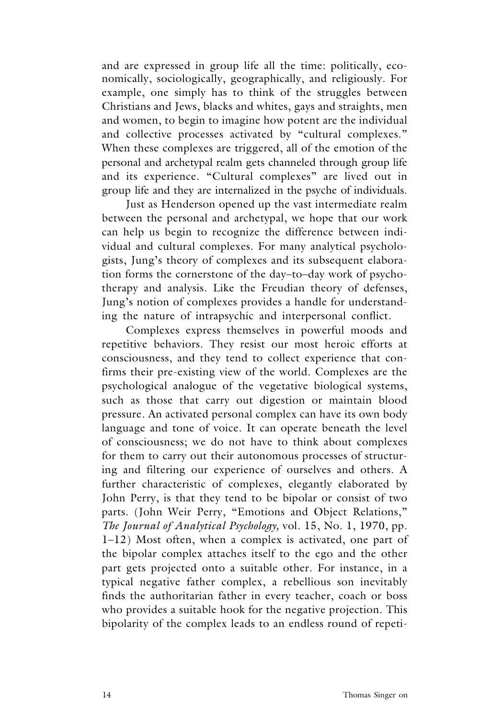and are expressed in group life all the time: politically, economically, sociologically, geographically, and religiously. For example, one simply has to think of the struggles between Christians and Jews, blacks and whites, gays and straights, men and women, to begin to imagine how potent are the individual and collective processes activated by "cultural complexes." When these complexes are triggered, all of the emotion of the personal and archetypal realm gets channeled through group life and its experience. "Cultural complexes" are lived out in group life and they are internalized in the psyche of individuals.

Just as Henderson opened up the vast intermediate realm between the personal and archetypal, we hope that our work can help us begin to recognize the difference between individual and cultural complexes. For many analytical psychologists, Jung's theory of complexes and its subsequent elaboration forms the cornerstone of the day–to–day work of psychotherapy and analysis. Like the Freudian theory of defenses, Jung's notion of complexes provides a handle for understanding the nature of intrapsychic and interpersonal conflict.

Complexes express themselves in powerful moods and repetitive behaviors. They resist our most heroic efforts at consciousness, and they tend to collect experience that confirms their pre-existing view of the world. Complexes are the psychological analogue of the vegetative biological systems, such as those that carry out digestion or maintain blood pressure. An activated personal complex can have its own body language and tone of voice. It can operate beneath the level of consciousness; we do not have to think about complexes for them to carry out their autonomous processes of structuring and filtering our experience of ourselves and others. A further characteristic of complexes, elegantly elaborated by John Perry, is that they tend to be bipolar or consist of two parts. (John Weir Perry, "Emotions and Object Relations," *The Journal of Analytical Psychology,* vol. 15, No. 1, 1970, pp. 1–12) Most often, when a complex is activated, one part of the bipolar complex attaches itself to the ego and the other part gets projected onto a suitable other. For instance, in a typical negative father complex, a rebellious son inevitably finds the authoritarian father in every teacher, coach or boss who provides a suitable hook for the negative projection. This bipolarity of the complex leads to an endless round of repeti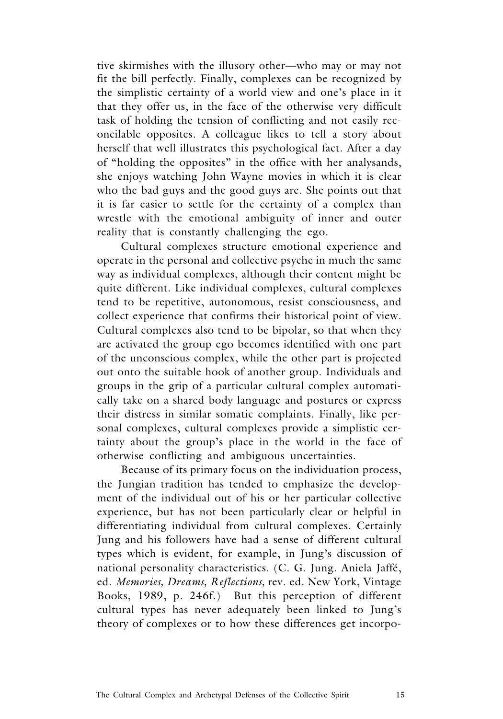tive skirmishes with the illusory other—who may or may not fit the bill perfectly. Finally, complexes can be recognized by the simplistic certainty of a world view and one's place in it that they offer us, in the face of the otherwise very difficult task of holding the tension of conflicting and not easily reconcilable opposites. A colleague likes to tell a story about herself that well illustrates this psychological fact. After a day of "holding the opposites" in the office with her analysands, she enjoys watching John Wayne movies in which it is clear who the bad guys and the good guys are. She points out that it is far easier to settle for the certainty of a complex than wrestle with the emotional ambiguity of inner and outer reality that is constantly challenging the ego.

Cultural complexes structure emotional experience and operate in the personal and collective psyche in much the same way as individual complexes, although their content might be quite different. Like individual complexes, cultural complexes tend to be repetitive, autonomous, resist consciousness, and collect experience that confirms their historical point of view. Cultural complexes also tend to be bipolar, so that when they are activated the group ego becomes identified with one part of the unconscious complex, while the other part is projected out onto the suitable hook of another group. Individuals and groups in the grip of a particular cultural complex automatically take on a shared body language and postures or express their distress in similar somatic complaints. Finally, like personal complexes, cultural complexes provide a simplistic certainty about the group's place in the world in the face of otherwise conflicting and ambiguous uncertainties.

Because of its primary focus on the individuation process, the Jungian tradition has tended to emphasize the development of the individual out of his or her particular collective experience, but has not been particularly clear or helpful in differentiating individual from cultural complexes. Certainly Jung and his followers have had a sense of different cultural types which is evident, for example, in Jung's discussion of national personality characteristics. (C. G. Jung. Aniela Jaffé, ed. *Memories, Dreams, Reflections,* rev. ed*.* New York, Vintage Books, 1989, p. 246f.) But this perception of different cultural types has never adequately been linked to Jung's theory of complexes or to how these differences get incorpo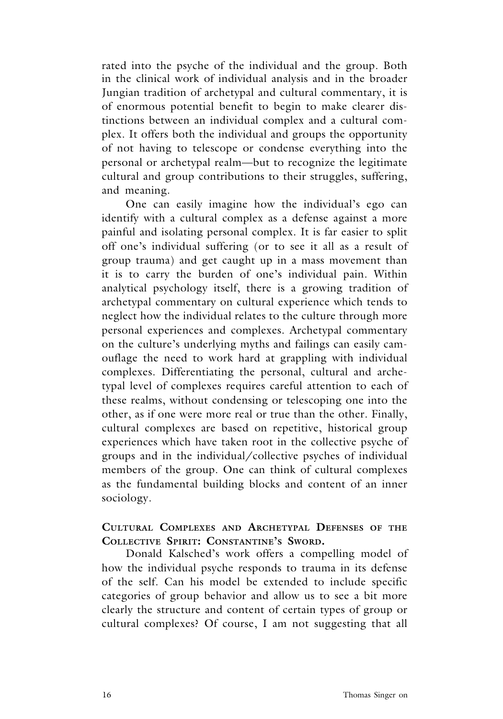rated into the psyche of the individual and the group. Both in the clinical work of individual analysis and in the broader Jungian tradition of archetypal and cultural commentary, it is of enormous potential benefit to begin to make clearer distinctions between an individual complex and a cultural complex. It offers both the individual and groups the opportunity of not having to telescope or condense everything into the personal or archetypal realm—but to recognize the legitimate cultural and group contributions to their struggles, suffering, and meaning.

One can easily imagine how the individual's ego can identify with a cultural complex as a defense against a more painful and isolating personal complex. It is far easier to split off one's individual suffering (or to see it all as a result of group trauma) and get caught up in a mass movement than it is to carry the burden of one's individual pain. Within analytical psychology itself, there is a growing tradition of archetypal commentary on cultural experience which tends to neglect how the individual relates to the culture through more personal experiences and complexes. Archetypal commentary on the culture's underlying myths and failings can easily camouflage the need to work hard at grappling with individual complexes. Differentiating the personal, cultural and archetypal level of complexes requires careful attention to each of these realms, without condensing or telescoping one into the other, as if one were more real or true than the other. Finally, cultural complexes are based on repetitive, historical group experiences which have taken root in the collective psyche of groups and in the individual/collective psyches of individual members of the group. One can think of cultural complexes as the fundamental building blocks and content of an inner sociology.

# **CULTURAL COMPLEXES AND ARCHETYPAL DEFENSES OF THE COLLECTIVE SPIRIT: CONSTANTINE'S SWORD.**

Donald Kalsched's work offers a compelling model of how the individual psyche responds to trauma in its defense of the self. Can his model be extended to include specific categories of group behavior and allow us to see a bit more clearly the structure and content of certain types of group or cultural complexes? Of course, I am not suggesting that all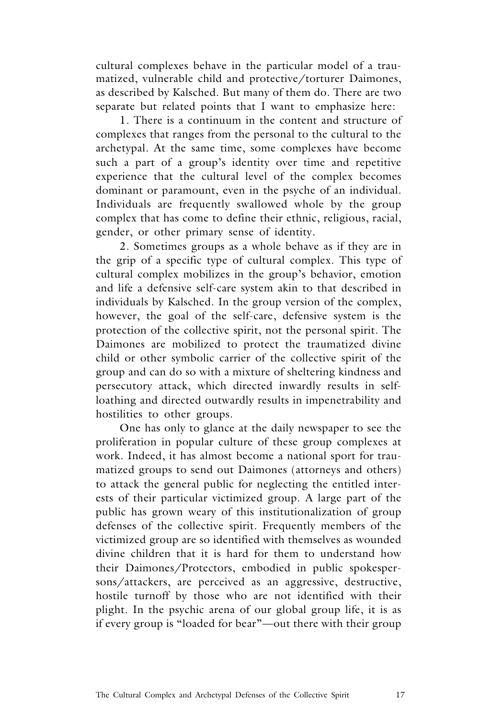cultural complexes behave in the particular model of a traumatized, vulnerable child and protective/torturer Daimones, as described by Kalsched. But many of them do. There are two separate but related points that I want to emphasize here:

1. There is a continuum in the content and structure of complexes that ranges from the personal to the cultural to the archetypal. At the same time, some complexes have become such a part of a group's identity over time and repetitive experience that the cultural level of the complex becomes dominant or paramount, even in the psyche of an individual. Individuals are frequently swallowed whole by the group complex that has come to define their ethnic, religious, racial, gender, or other primary sense of identity.

2. Sometimes groups as a whole behave as if they are in the grip of a specific type of cultural complex. This type of cultural complex mobilizes in the group's behavior, emotion and life a defensive self-care system akin to that described in individuals by Kalsched. In the group version of the complex, however, the goal of the self-care, defensive system is the protection of the collective spirit, not the personal spirit. The Daimones are mobilized to protect the traumatized divine child or other symbolic carrier of the collective spirit of the group and can do so with a mixture of sheltering kindness and persecutory attack, which directed inwardly results in selfloathing and directed outwardly results in impenetrability and hostilities to other groups.

One has only to glance at the daily newspaper to see the proliferation in popular culture of these group complexes at work. Indeed, it has almost become a national sport for traumatized groups to send out Daimones (attorneys and others) to attack the general public for neglecting the entitled interests of their particular victimized group. A large part of the public has grown weary of this institutionalization of group defenses of the collective spirit. Frequently members of the victimized group are so identified with themselves as wounded divine children that it is hard for them to understand how their Daimones/Protectors, embodied in public spokespersons/attackers, are perceived as an aggressive, destructive, hostile turnoff by those who are not identified with their plight. In the psychic arena of our global group life, it is as if every group is "loaded for bear"—out there with their group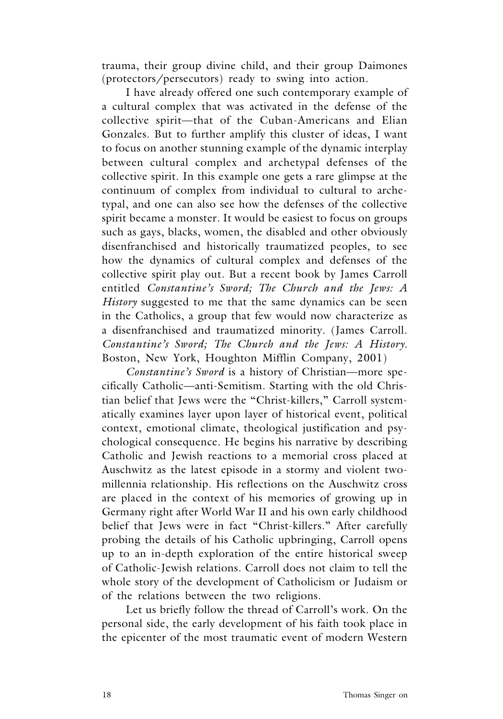trauma, their group divine child, and their group Daimones (protectors/persecutors) ready to swing into action.

I have already offered one such contemporary example of a cultural complex that was activated in the defense of the collective spirit—that of the Cuban-Americans and Elian Gonzales. But to further amplify this cluster of ideas, I want to focus on another stunning example of the dynamic interplay between cultural complex and archetypal defenses of the collective spirit. In this example one gets a rare glimpse at the continuum of complex from individual to cultural to archetypal, and one can also see how the defenses of the collective spirit became a monster. It would be easiest to focus on groups such as gays, blacks, women, the disabled and other obviously disenfranchised and historically traumatized peoples, to see how the dynamics of cultural complex and defenses of the collective spirit play out. But a recent book by James Carroll entitled *Constantine's Sword; The Church and the Jews: A History* suggested to me that the same dynamics can be seen in the Catholics, a group that few would now characterize as a disenfranchised and traumatized minority. (James Carroll. *Constantine's Sword; The Church and the Jews: A History.* Boston, New York, Houghton Mifflin Company, 2001)

*Constantine's Sword* is a history of Christian—more specifically Catholic—anti-Semitism. Starting with the old Christian belief that Jews were the "Christ-killers," Carroll systematically examines layer upon layer of historical event, political context, emotional climate, theological justification and psychological consequence. He begins his narrative by describing Catholic and Jewish reactions to a memorial cross placed at Auschwitz as the latest episode in a stormy and violent twomillennia relationship. His reflections on the Auschwitz cross are placed in the context of his memories of growing up in Germany right after World War II and his own early childhood belief that Jews were in fact "Christ-killers." After carefully probing the details of his Catholic upbringing, Carroll opens up to an in-depth exploration of the entire historical sweep of Catholic-Jewish relations. Carroll does not claim to tell the whole story of the development of Catholicism or Judaism or of the relations between the two religions.

Let us briefly follow the thread of Carroll's work. On the personal side, the early development of his faith took place in the epicenter of the most traumatic event of modern Western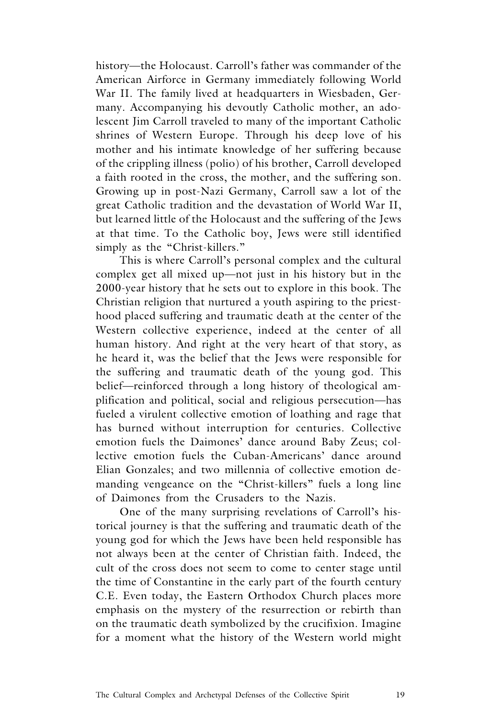history—the Holocaust. Carroll's father was commander of the American Airforce in Germany immediately following World War II. The family lived at headquarters in Wiesbaden, Germany. Accompanying his devoutly Catholic mother, an adolescent Jim Carroll traveled to many of the important Catholic shrines of Western Europe. Through his deep love of his mother and his intimate knowledge of her suffering because of the crippling illness (polio) of his brother, Carroll developed a faith rooted in the cross, the mother, and the suffering son. Growing up in post-Nazi Germany, Carroll saw a lot of the great Catholic tradition and the devastation of World War II, but learned little of the Holocaust and the suffering of the Jews at that time. To the Catholic boy, Jews were still identified simply as the "Christ-killers."

This is where Carroll's personal complex and the cultural complex get all mixed up—not just in his history but in the 2000-year history that he sets out to explore in this book. The Christian religion that nurtured a youth aspiring to the priesthood placed suffering and traumatic death at the center of the Western collective experience, indeed at the center of all human history. And right at the very heart of that story, as he heard it, was the belief that the Jews were responsible for the suffering and traumatic death of the young god. This belief—reinforced through a long history of theological amplification and political, social and religious persecution—has fueled a virulent collective emotion of loathing and rage that has burned without interruption for centuries. Collective emotion fuels the Daimones' dance around Baby Zeus; collective emotion fuels the Cuban-Americans' dance around Elian Gonzales; and two millennia of collective emotion demanding vengeance on the "Christ-killers" fuels a long line of Daimones from the Crusaders to the Nazis.

One of the many surprising revelations of Carroll's historical journey is that the suffering and traumatic death of the young god for which the Jews have been held responsible has not always been at the center of Christian faith. Indeed, the cult of the cross does not seem to come to center stage until the time of Constantine in the early part of the fourth century C.E. Even today, the Eastern Orthodox Church places more emphasis on the mystery of the resurrection or rebirth than on the traumatic death symbolized by the crucifixion. Imagine for a moment what the history of the Western world might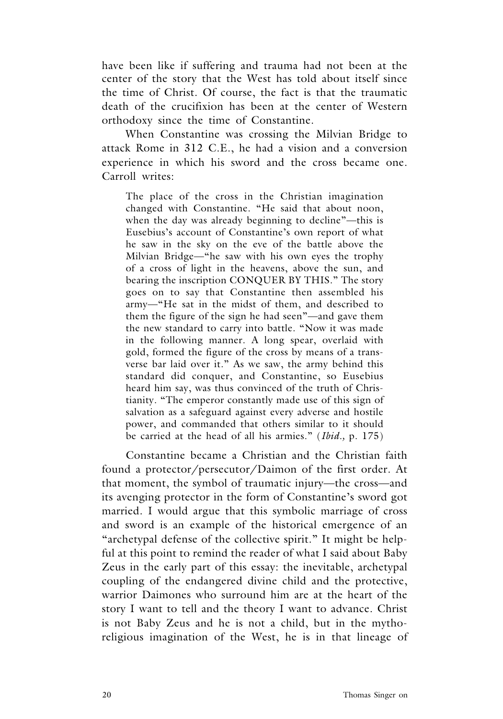have been like if suffering and trauma had not been at the center of the story that the West has told about itself since the time of Christ. Of course, the fact is that the traumatic death of the crucifixion has been at the center of Western orthodoxy since the time of Constantine.

When Constantine was crossing the Milvian Bridge to attack Rome in 312 C.E., he had a vision and a conversion experience in which his sword and the cross became one. Carroll writes:

The place of the cross in the Christian imagination changed with Constantine. "He said that about noon, when the day was already beginning to decline"—this is Eusebius's account of Constantine's own report of what he saw in the sky on the eve of the battle above the Milvian Bridge—"he saw with his own eyes the trophy of a cross of light in the heavens, above the sun, and bearing the inscription CONQUER BY THIS." The story goes on to say that Constantine then assembled his army—"He sat in the midst of them, and described to them the figure of the sign he had seen"—and gave them the new standard to carry into battle. "Now it was made in the following manner. A long spear, overlaid with gold, formed the figure of the cross by means of a transverse bar laid over it." As we saw, the army behind this standard did conquer, and Constantine, so Eusebius heard him say, was thus convinced of the truth of Christianity. "The emperor constantly made use of this sign of salvation as a safeguard against every adverse and hostile power, and commanded that others similar to it should be carried at the head of all his armies." (*Ibid.,* p. 175)

Constantine became a Christian and the Christian faith found a protector/persecutor/Daimon of the first order. At that moment, the symbol of traumatic injury—the cross—and its avenging protector in the form of Constantine's sword got married. I would argue that this symbolic marriage of cross and sword is an example of the historical emergence of an "archetypal defense of the collective spirit." It might be helpful at this point to remind the reader of what I said about Baby Zeus in the early part of this essay: the inevitable, archetypal coupling of the endangered divine child and the protective, warrior Daimones who surround him are at the heart of the story I want to tell and the theory I want to advance. Christ is not Baby Zeus and he is not a child, but in the mythoreligious imagination of the West, he is in that lineage of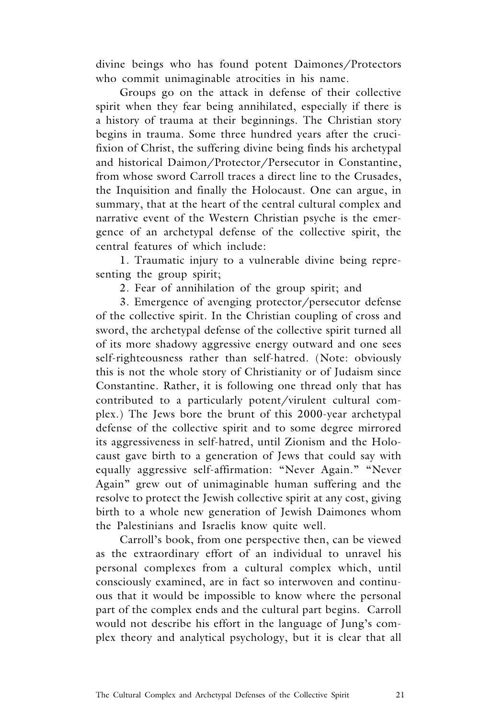divine beings who has found potent Daimones/Protectors who commit unimaginable atrocities in his name.

Groups go on the attack in defense of their collective spirit when they fear being annihilated, especially if there is a history of trauma at their beginnings. The Christian story begins in trauma. Some three hundred years after the crucifixion of Christ, the suffering divine being finds his archetypal and historical Daimon/Protector/Persecutor in Constantine, from whose sword Carroll traces a direct line to the Crusades, the Inquisition and finally the Holocaust. One can argue, in summary, that at the heart of the central cultural complex and narrative event of the Western Christian psyche is the emergence of an archetypal defense of the collective spirit, the central features of which include:

1. Traumatic injury to a vulnerable divine being representing the group spirit;

2. Fear of annihilation of the group spirit; and

3. Emergence of avenging protector/persecutor defense of the collective spirit. In the Christian coupling of cross and sword, the archetypal defense of the collective spirit turned all of its more shadowy aggressive energy outward and one sees self-righteousness rather than self-hatred. (Note: obviously this is not the whole story of Christianity or of Judaism since Constantine. Rather, it is following one thread only that has contributed to a particularly potent/virulent cultural complex.) The Jews bore the brunt of this 2000-year archetypal defense of the collective spirit and to some degree mirrored its aggressiveness in self-hatred, until Zionism and the Holocaust gave birth to a generation of Jews that could say with equally aggressive self-affirmation: "Never Again." "Never Again" grew out of unimaginable human suffering and the resolve to protect the Jewish collective spirit at any cost, giving birth to a whole new generation of Jewish Daimones whom the Palestinians and Israelis know quite well.

Carroll's book, from one perspective then, can be viewed as the extraordinary effort of an individual to unravel his personal complexes from a cultural complex which, until consciously examined, are in fact so interwoven and continuous that it would be impossible to know where the personal part of the complex ends and the cultural part begins. Carroll would not describe his effort in the language of Jung's complex theory and analytical psychology, but it is clear that all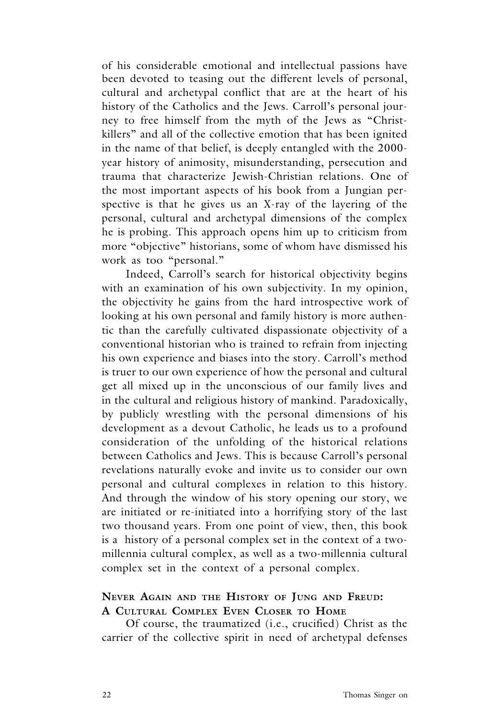of his considerable emotional and intellectual passions have been devoted to teasing out the different levels of personal, cultural and archetypal conflict that are at the heart of his history of the Catholics and the Jews. Carroll's personal journey to free himself from the myth of the Jews as "Christkillers" and all of the collective emotion that has been ignited in the name of that belief, is deeply entangled with the 2000 year history of animosity, misunderstanding, persecution and trauma that characterize Jewish-Christian relations. One of the most important aspects of his book from a Jungian perspective is that he gives us an X-ray of the layering of the personal, cultural and archetypal dimensions of the complex he is probing. This approach opens him up to criticism from more "objective" historians, some of whom have dismissed his work as too "personal."

Indeed, Carroll's search for historical objectivity begins with an examination of his own subjectivity. In my opinion, the objectivity he gains from the hard introspective work of looking at his own personal and family history is more authentic than the carefully cultivated dispassionate objectivity of a conventional historian who is trained to refrain from injecting his own experience and biases into the story. Carroll's method is truer to our own experience of how the personal and cultural get all mixed up in the unconscious of our family lives and in the cultural and religious history of mankind. Paradoxically, by publicly wrestling with the personal dimensions of his development as a devout Catholic, he leads us to a profound consideration of the unfolding of the historical relations between Catholics and Jews. This is because Carroll's personal revelations naturally evoke and invite us to consider our own personal and cultural complexes in relation to this history. And through the window of his story opening our story, we are initiated or re-initiated into a horrifying story of the last two thousand years. From one point of view, then, this book is a history of a personal complex set in the context of a twomillennia cultural complex, as well as a two-millennia cultural complex set in the context of a personal complex.

# **NEVER AGAIN AND THE HISTORY OF JUNG AND FREUD: A CULTURAL COMPLEX EVEN CLOSER TO HOME**

Of course, the traumatized (i.e., crucified) Christ as the carrier of the collective spirit in need of archetypal defenses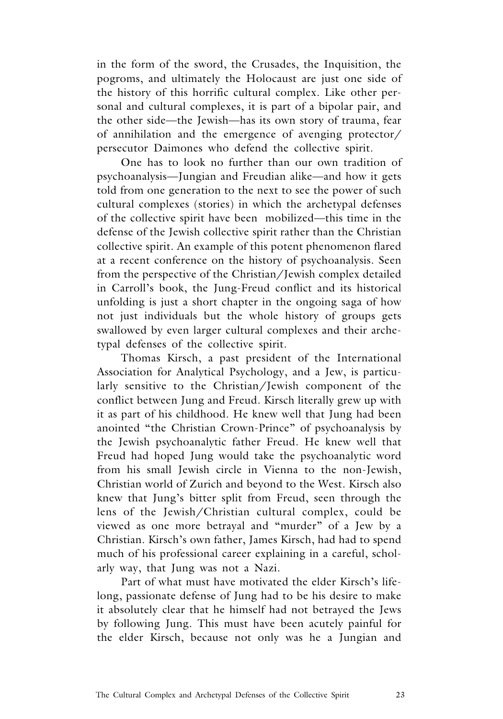in the form of the sword, the Crusades, the Inquisition, the pogroms, and ultimately the Holocaust are just one side of the history of this horrific cultural complex. Like other personal and cultural complexes, it is part of a bipolar pair, and the other side—the Jewish—has its own story of trauma, fear of annihilation and the emergence of avenging protector/ persecutor Daimones who defend the collective spirit.

One has to look no further than our own tradition of psychoanalysis—Jungian and Freudian alike—and how it gets told from one generation to the next to see the power of such cultural complexes (stories) in which the archetypal defenses of the collective spirit have been mobilized—this time in the defense of the Jewish collective spirit rather than the Christian collective spirit. An example of this potent phenomenon flared at a recent conference on the history of psychoanalysis. Seen from the perspective of the Christian/Jewish complex detailed in Carroll's book, the Jung-Freud conflict and its historical unfolding is just a short chapter in the ongoing saga of how not just individuals but the whole history of groups gets swallowed by even larger cultural complexes and their archetypal defenses of the collective spirit.

Thomas Kirsch, a past president of the International Association for Analytical Psychology, and a Jew, is particularly sensitive to the Christian/Jewish component of the conflict between Jung and Freud. Kirsch literally grew up with it as part of his childhood. He knew well that Jung had been anointed "the Christian Crown-Prince" of psychoanalysis by the Jewish psychoanalytic father Freud. He knew well that Freud had hoped Jung would take the psychoanalytic word from his small Jewish circle in Vienna to the non-Jewish, Christian world of Zurich and beyond to the West. Kirsch also knew that Jung's bitter split from Freud, seen through the lens of the Jewish/Christian cultural complex, could be viewed as one more betrayal and "murder" of a Jew by a Christian. Kirsch's own father, James Kirsch, had had to spend much of his professional career explaining in a careful, scholarly way, that Jung was not a Nazi.

Part of what must have motivated the elder Kirsch's lifelong, passionate defense of Jung had to be his desire to make it absolutely clear that he himself had not betrayed the Jews by following Jung. This must have been acutely painful for the elder Kirsch, because not only was he a Jungian and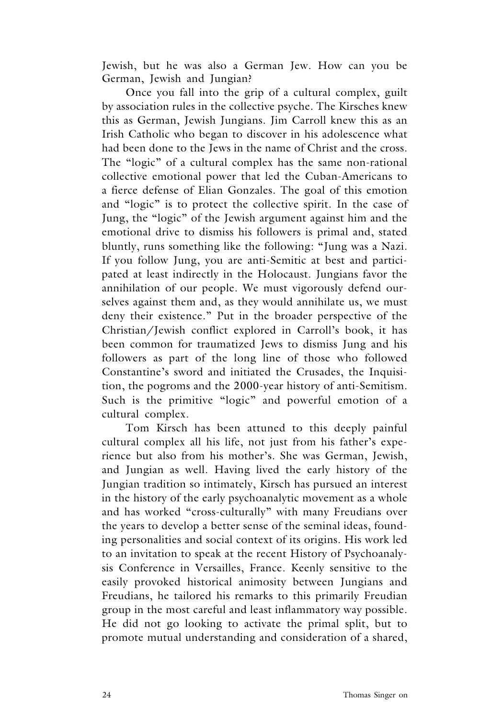Jewish, but he was also a German Jew. How can you be German, Jewish and Jungian?

Once you fall into the grip of a cultural complex, guilt by association rules in the collective psyche. The Kirsches knew this as German, Jewish Jungians. Jim Carroll knew this as an Irish Catholic who began to discover in his adolescence what had been done to the Jews in the name of Christ and the cross. The "logic" of a cultural complex has the same non-rational collective emotional power that led the Cuban-Americans to a fierce defense of Elian Gonzales. The goal of this emotion and "logic" is to protect the collective spirit. In the case of Jung, the "logic" of the Jewish argument against him and the emotional drive to dismiss his followers is primal and, stated bluntly, runs something like the following: "Jung was a Nazi. If you follow Jung, you are anti-Semitic at best and participated at least indirectly in the Holocaust. Jungians favor the annihilation of our people. We must vigorously defend ourselves against them and, as they would annihilate us, we must deny their existence." Put in the broader perspective of the Christian/Jewish conflict explored in Carroll's book, it has been common for traumatized Jews to dismiss Jung and his followers as part of the long line of those who followed Constantine's sword and initiated the Crusades, the Inquisition, the pogroms and the 2000-year history of anti-Semitism. Such is the primitive "logic" and powerful emotion of a cultural complex.

Tom Kirsch has been attuned to this deeply painful cultural complex all his life, not just from his father's experience but also from his mother's. She was German, Jewish, and Jungian as well. Having lived the early history of the Jungian tradition so intimately, Kirsch has pursued an interest in the history of the early psychoanalytic movement as a whole and has worked "cross-culturally" with many Freudians over the years to develop a better sense of the seminal ideas, founding personalities and social context of its origins. His work led to an invitation to speak at the recent History of Psychoanalysis Conference in Versailles, France. Keenly sensitive to the easily provoked historical animosity between Jungians and Freudians, he tailored his remarks to this primarily Freudian group in the most careful and least inflammatory way possible. He did not go looking to activate the primal split, but to promote mutual understanding and consideration of a shared,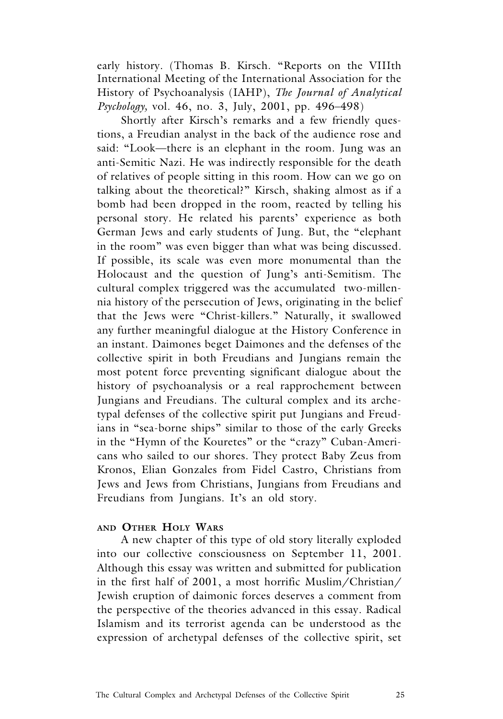early history. (Thomas B. Kirsch. "Reports on the VIIIth International Meeting of the International Association for the History of Psychoanalysis (IAHP), *The Journal of Analytical Psychology,* vol. 46, no. 3, July, 2001, pp. 496–498)

Shortly after Kirsch's remarks and a few friendly questions, a Freudian analyst in the back of the audience rose and said: "Look—there is an elephant in the room. Jung was an anti-Semitic Nazi. He was indirectly responsible for the death of relatives of people sitting in this room. How can we go on talking about the theoretical?" Kirsch, shaking almost as if a bomb had been dropped in the room, reacted by telling his personal story. He related his parents' experience as both German Jews and early students of Jung. But, the "elephant in the room" was even bigger than what was being discussed. If possible, its scale was even more monumental than the Holocaust and the question of Jung's anti-Semitism. The cultural complex triggered was the accumulated two-millennia history of the persecution of Jews, originating in the belief that the Jews were "Christ-killers." Naturally, it swallowed any further meaningful dialogue at the History Conference in an instant. Daimones beget Daimones and the defenses of the collective spirit in both Freudians and Jungians remain the most potent force preventing significant dialogue about the history of psychoanalysis or a real rapprochement between Jungians and Freudians. The cultural complex and its archetypal defenses of the collective spirit put Jungians and Freudians in "sea-borne ships" similar to those of the early Greeks in the "Hymn of the Kouretes" or the "crazy" Cuban-Americans who sailed to our shores. They protect Baby Zeus from Kronos, Elian Gonzales from Fidel Castro, Christians from Jews and Jews from Christians, Jungians from Freudians and Freudians from Jungians. It's an old story.

## **AND OTHER HOLY WARS**

A new chapter of this type of old story literally exploded into our collective consciousness on September 11, 2001. Although this essay was written and submitted for publication in the first half of 2001, a most horrific Muslim/Christian/ Jewish eruption of daimonic forces deserves a comment from the perspective of the theories advanced in this essay. Radical Islamism and its terrorist agenda can be understood as the expression of archetypal defenses of the collective spirit, set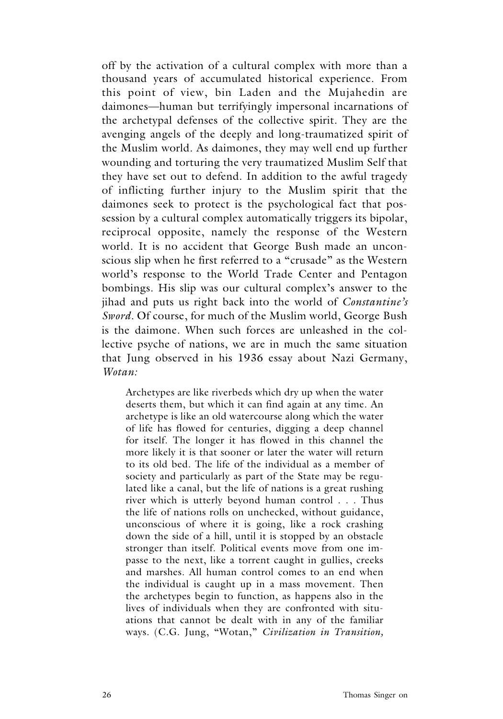off by the activation of a cultural complex with more than a thousand years of accumulated historical experience. From this point of view, bin Laden and the Mujahedin are daimones—human but terrifyingly impersonal incarnations of the archetypal defenses of the collective spirit. They are the avenging angels of the deeply and long-traumatized spirit of the Muslim world. As daimones, they may well end up further wounding and torturing the very traumatized Muslim Self that they have set out to defend. In addition to the awful tragedy of inflicting further injury to the Muslim spirit that the daimones seek to protect is the psychological fact that possession by a cultural complex automatically triggers its bipolar, reciprocal opposite, namely the response of the Western world. It is no accident that George Bush made an unconscious slip when he first referred to a "crusade" as the Western world's response to the World Trade Center and Pentagon bombings. His slip was our cultural complex's answer to the jihad and puts us right back into the world of *Constantine's Sword.* Of course, for much of the Muslim world, George Bush is the daimone. When such forces are unleashed in the collective psyche of nations, we are in much the same situation that Jung observed in his 1936 essay about Nazi Germany, *Wotan:*

Archetypes are like riverbeds which dry up when the water deserts them, but which it can find again at any time. An archetype is like an old watercourse along which the water of life has flowed for centuries, digging a deep channel for itself. The longer it has flowed in this channel the more likely it is that sooner or later the water will return to its old bed. The life of the individual as a member of society and particularly as part of the State may be regulated like a canal, but the life of nations is a great rushing river which is utterly beyond human control . . . Thus the life of nations rolls on unchecked, without guidance, unconscious of where it is going, like a rock crashing down the side of a hill, until it is stopped by an obstacle stronger than itself. Political events move from one impasse to the next, like a torrent caught in gullies, creeks and marshes. All human control comes to an end when the individual is caught up in a mass movement. Then the archetypes begin to function, as happens also in the lives of individuals when they are confronted with situations that cannot be dealt with in any of the familiar ways. (C.G. Jung, "Wotan," *Civilization in Transition,*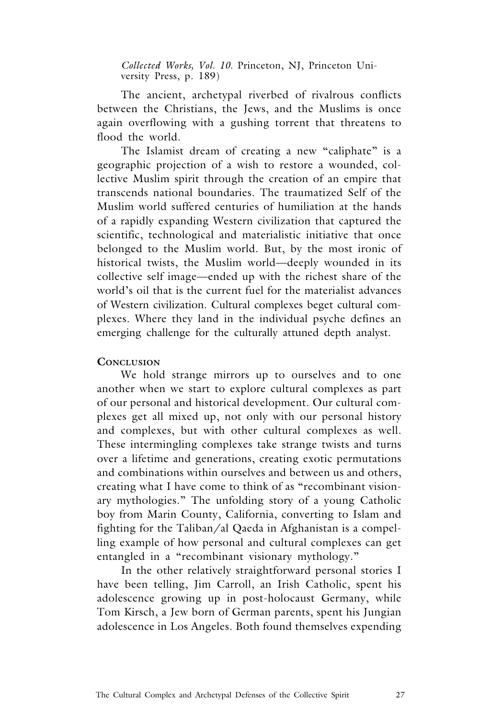*Collected Works, Vol. 10.* Princeton, NJ, Princeton University Press, p. 189)

The ancient, archetypal riverbed of rivalrous conflicts between the Christians, the Jews, and the Muslims is once again overflowing with a gushing torrent that threatens to flood the world.

The Islamist dream of creating a new "caliphate" is a geographic projection of a wish to restore a wounded, collective Muslim spirit through the creation of an empire that transcends national boundaries. The traumatized Self of the Muslim world suffered centuries of humiliation at the hands of a rapidly expanding Western civilization that captured the scientific, technological and materialistic initiative that once belonged to the Muslim world. But, by the most ironic of historical twists, the Muslim world—deeply wounded in its collective self image—ended up with the richest share of the world's oil that is the current fuel for the materialist advances of Western civilization. Cultural complexes beget cultural complexes. Where they land in the individual psyche defines an emerging challenge for the culturally attuned depth analyst.

### **CONCLUSION**

We hold strange mirrors up to ourselves and to one another when we start to explore cultural complexes as part of our personal and historical development. Our cultural complexes get all mixed up, not only with our personal history and complexes, but with other cultural complexes as well. These intermingling complexes take strange twists and turns over a lifetime and generations, creating exotic permutations and combinations within ourselves and between us and others, creating what I have come to think of as "recombinant visionary mythologies." The unfolding story of a young Catholic boy from Marin County, California, converting to Islam and fighting for the Taliban/al Qaeda in Afghanistan is a compelling example of how personal and cultural complexes can get entangled in a "recombinant visionary mythology."

In the other relatively straightforward personal stories I have been telling, Jim Carroll, an Irish Catholic, spent his adolescence growing up in post-holocaust Germany, while Tom Kirsch, a Jew born of German parents, spent his Jungian adolescence in Los Angeles. Both found themselves expending